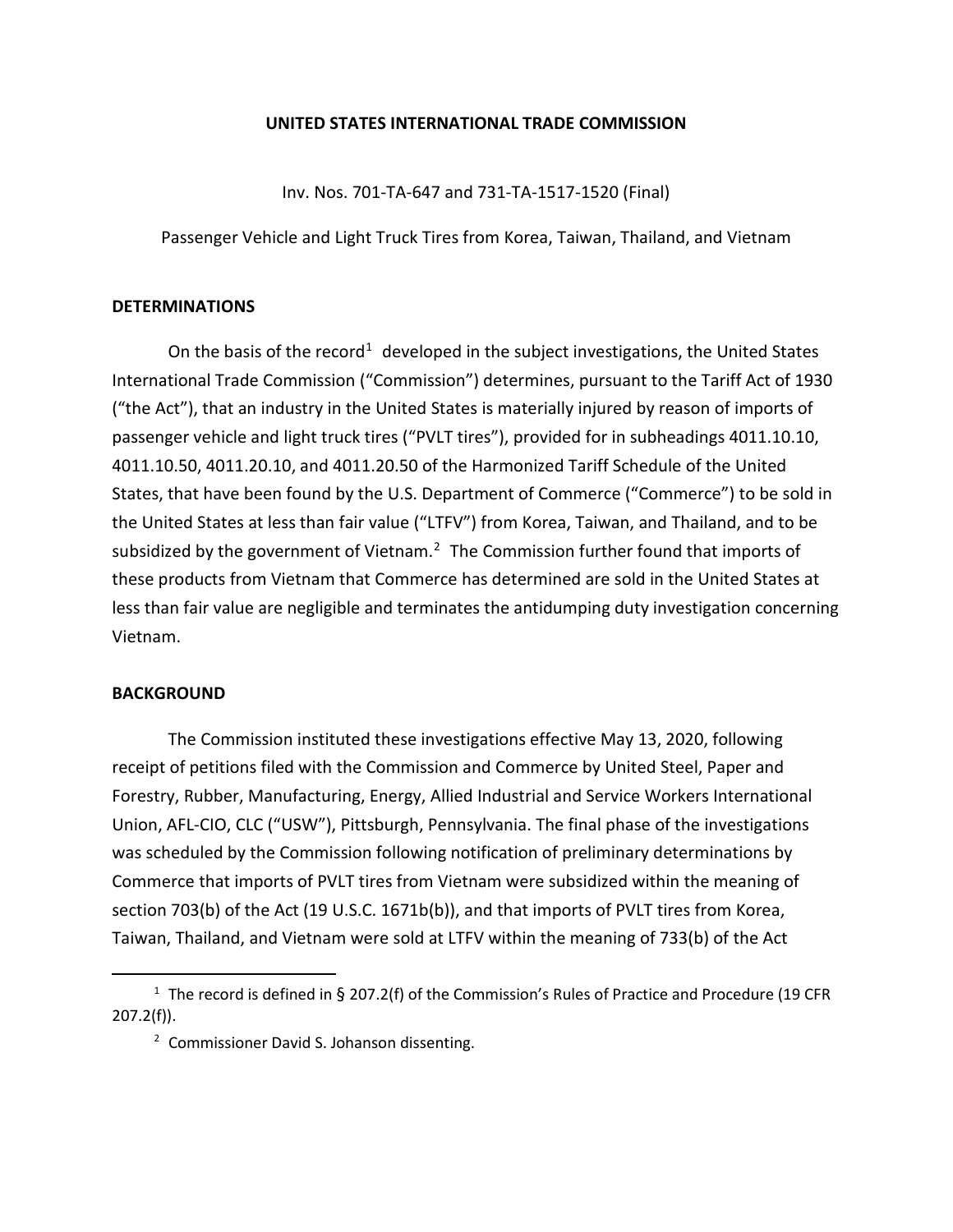## **UNITED STATES INTERNATIONAL TRADE COMMISSION**

Inv. Nos. 701-TA-647 and 731-TA-1517-1520 (Final)

Passenger Vehicle and Light Truck Tires from Korea, Taiwan, Thailand, and Vietnam

## **DETERMINATIONS**

On the basis of the record<sup>[1](#page-0-0)</sup> developed in the subject investigations, the United States International Trade Commission ("Commission") determines, pursuant to the Tariff Act of 1930 ("the Act"), that an industry in the United States is materially injured by reason of imports of passenger vehicle and light truck tires ("PVLT tires"), provided for in subheadings 4011.10.10, 4011.10.50, 4011.20.10, and 4011.20.50 of the Harmonized Tariff Schedule of the United States, that have been found by the U.S. Department of Commerce ("Commerce") to be sold in the United States at less than fair value ("LTFV") from Korea, Taiwan, and Thailand, and to be subsidized by the government of Vietnam. $2$  The Commission further found that imports of these products from Vietnam that Commerce has determined are sold in the United States at less than fair value are negligible and terminates the antidumping duty investigation concerning Vietnam.

## **BACKGROUND**

The Commission instituted these investigations effective May 13, 2020, following receipt of petitions filed with the Commission and Commerce by United Steel, Paper and Forestry, Rubber, Manufacturing, Energy, Allied Industrial and Service Workers International Union, AFL-CIO, CLC ("USW"), Pittsburgh, Pennsylvania. The final phase of the investigations was scheduled by the Commission following notification of preliminary determinations by Commerce that imports of PVLT tires from Vietnam were subsidized within the meaning of section 703(b) of the Act (19 U.S.C. 1671b(b)), and that imports of PVLT tires from Korea, Taiwan, Thailand, and Vietnam were sold at LTFV within the meaning of 733(b) of the Act

<span id="page-0-1"></span><span id="page-0-0"></span><sup>&</sup>lt;sup>1</sup> The record is defined in § 207.2(f) of the Commission's Rules of Practice and Procedure (19 CFR 207.2(f)).

<sup>&</sup>lt;sup>2</sup> Commissioner David S. Johanson dissenting.